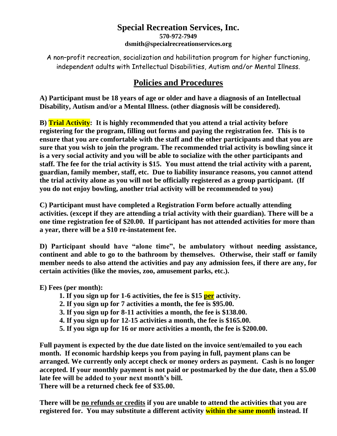## **Special Recreation Services, Inc. 570-972-7949 dsmith@specialrecreationservices.org**

A non–profit recreation, socialization and habilitation program for higher functioning, independent adults with Intellectual Disabilities, Autism and/or Mental Illness.

## **Policies and Procedures**

**A) Participant must be 18 years of age or older and have a diagnosis of an Intellectual Disability, Autism and/or a Mental Illness. (other diagnosis will be considered).**

**B) Trial Activity: It is highly recommended that you attend a trial activity before registering for the program, filling out forms and paying the registration fee. This is to ensure that you are comfortable with the staff and the other participants and that you are sure that you wish to join the program. The recommended trial activity is bowling since it is a very social activity and you will be able to socialize with the other participants and staff. The fee for the trial activity is \$15. You must attend the trial activity with a parent, guardian, family member, staff, etc. Due to liability insurance reasons, you cannot attend the trial activity alone as you will not be officially registered as a group participant. (If you do not enjoy bowling, another trial activity will be recommended to you)**

**C) Participant must have completed a Registration Form before actually attending activities. (except if they are attending a trial activity with their guardian). There will be a one time registration fee of \$20.00. If participant has not attended activities for more than a year, there will be a \$10 re-instatement fee.**

**D) Participant should have "alone time", be ambulatory without needing assistance, continent and able to go to the bathroom by themselves. Otherwise, their staff or family member needs to also attend the activities and pay any admission fees, if there are any, for certain activities (like the movies, zoo, amusement parks, etc.).**

**E) Fees (per month):** 

- **1. If you sign up for 1-6 activities, the fee is \$15 per activity.**
- **2. If you sign up for 7 activities a month, the fee is \$95.00.**
- **3. If you sign up for 8-11 activities a month, the fee is \$138.00.**
- **4. If you sign up for 12-15 activities a month, the fee is \$165.00.**
- **5. If you sign up for 16 or more activities a month, the fee is \$200.00.**

**Full payment is expected by the due date listed on the invoice sent/emailed to you each month. If economic hardship keeps you from paying in full, payment plans can be arranged. We currently only accept check or money orders as payment. Cash is no longer accepted. If your monthly payment is not paid or postmarked by the due date, then a \$5.00 late fee will be added to your next month's bill.**

**There will be a returned check fee of \$35.00.**

**There will be no refunds or credits if you are unable to attend the activities that you are registered for. You may substitute a different activity within the same month instead. If**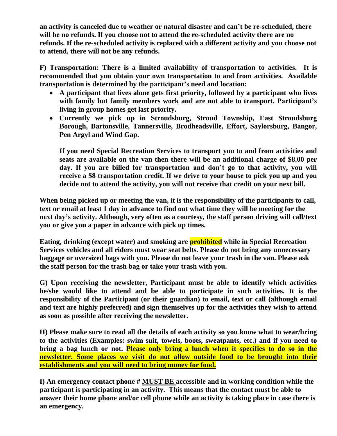**an activity is canceled due to weather or natural disaster and can't be re-scheduled, there will be no refunds. If you choose not to attend the re-scheduled activity there are no refunds. If the re-scheduled activity is replaced with a different activity and you choose not to attend, there will not be any refunds.**

**F) Transportation: There is a limited availability of transportation to activities. It is recommended that you obtain your own transportation to and from activities. Available transportation is determined by the participant's need and location:** 

- **A participant that lives alone gets first priority, followed by a participant who lives with family but family members work and are not able to transport. Participant's living in group homes get last priority.**
- **Currently we pick up in Stroudsburg, Stroud Township, East Stroudsburg Borough, Bartonsville, Tannersville, Brodheadsville, Effort, Saylorsburg, Bangor, Pen Argyl and Wind Gap.**

**If you need Special Recreation Services to transport you to and from activities and seats are available on the van then there will be an additional charge of \$8.00 per day. If you are billed for transportation and don't go to that activity, you will receive a \$8 transportation credit. If we drive to your house to pick you up and you decide not to attend the activity, you will not receive that credit on your next bill.**

**When being picked up or meeting the van, it is the responsibility of the participants to call, text or email at least 1 day in advance to find out what time they will be meeting for the next day's activity. Although, very often as a courtesy, the staff person driving will call/text you or give you a paper in advance with pick up times.** 

**Eating, drinking (except water) and smoking are prohibited while in Special Recreation Services vehicles and all riders must wear seat belts. Please do not bring any unnecessary baggage or oversized bags with you. Please do not leave your trash in the van. Please ask the staff person for the trash bag or take your trash with you.**

**G) Upon receiving the newsletter, Participant must be able to identify which activities he/she would like to attend and be able to participate in such activities. It is the responsibility of the Participant (or their guardian) to email, text or call (although email and text are highly preferred) and sign themselves up for the activities they wish to attend as soon as possible after receiving the newsletter.**

**H) Please make sure to read all the details of each activity so you know what to wear/bring to the activities (Examples: swim suit, towels, boots, sweatpants, etc.) and if you need to bring a bag lunch or not. Please only bring a lunch when it specifies to do so in the newsletter. Some places we visit do not allow outside food to be brought into their establishments and you will need to bring money for food.**

**I) An emergency contact phone # MUST BE accessible and in working condition while the participant is participating in an activity. This means that the contact must be able to answer their home phone and/or cell phone while an activity is taking place in case there is an emergency.**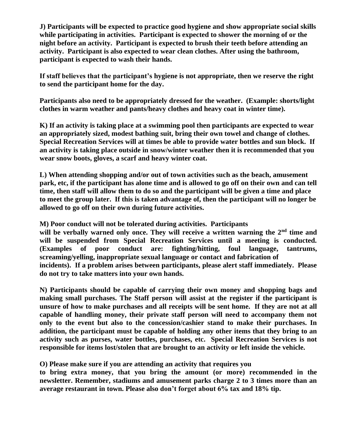**J) Participants will be expected to practice good hygiene and show appropriate social skills while participating in activities. Participant is expected to shower the morning of or the night before an activity. Participant is expected to brush their teeth before attending an activity. Participant is also expected to wear clean clothes. After using the bathroom, participant is expected to wash their hands.**

**If staff believes that the participant's hygiene is not appropriate, then we reserve the right to send the participant home for the day.** 

**Participants also need to be appropriately dressed for the weather. (Example: shorts/light clothes in warm weather and pants/heavy clothes and heavy coat in winter time).** 

**K) If an activity is taking place at a swimming pool then participants are expected to wear an appropriately sized, modest bathing suit, bring their own towel and change of clothes. Special Recreation Services will at times be able to provide water bottles and sun block. If an activity is taking place outside in snow/winter weather then it is recommended that you wear snow boots, gloves, a scarf and heavy winter coat.**

**L) When attending shopping and/or out of town activities such as the beach, amusement park, etc, if the participant has alone time and is allowed to go off on their own and can tell time, then staff will allow them to do so and the participant will be given a time and place to meet the group later. If this is taken advantage of, then the participant will no longer be allowed to go off on their own during future activities.**

**M) Poor conduct will not be tolerated during activities. Participants will be verbally warned only once. They will receive a written warning the 2nd time and will be suspended from Special Recreation Services until a meeting is conducted. (Examples of poor conduct are: fighting/hitting, foul language, tantrums, screaming/yelling, inappropriate sexual language or contact and fabrication of incidents). If a problem arises between participants, please alert staff immediately. Please do not try to take matters into your own hands.**

**N) Participants should be capable of carrying their own money and shopping bags and making small purchases. The Staff person will assist at the register if the participant is unsure of how to make purchases and all receipts will be sent home. If they are not at all capable of handling money, their private staff person will need to accompany them not only to the event but also to the concession/cashier stand to make their purchases. In addition, the participant must be capable of holding any other items that they bring to an activity such as purses, water bottles, purchases, etc. Special Recreation Services is not responsible for items lost/stolen that are brought to an activity or left inside the vehicle.** 

**O) Please make sure if you are attending an activity that requires you** 

**to bring extra money, that you bring the amount (or more) recommended in the newsletter. Remember, stadiums and amusement parks charge 2 to 3 times more than an average restaurant in town. Please also don't forget about 6% tax and 18% tip.**